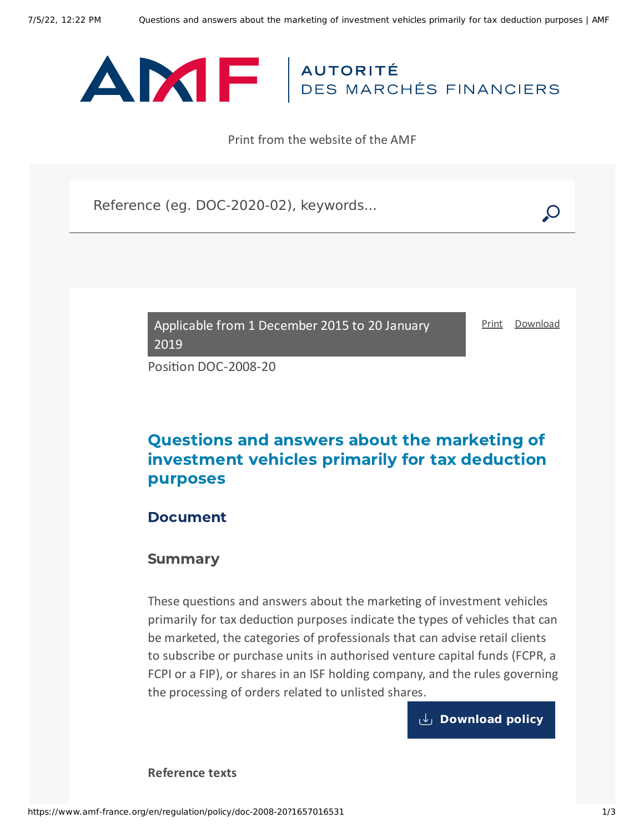

Print from the website of the AMF

Reference (eg. DOC-2020-02), keywords...

Applicable from 1 December 2015 to 20 January 2019

[Print](javascript:window.print()) [Download](https://www.amf-france.org/sites/default/files/pdf/62821/en/Questions_and_answers_about_the_marketing_of_investment_vehicles_primarily_for_tax_deduction_purposes.pdf?1657016532)

Position DOC-2008-20

# Questions and answers about the marketing of investment vehicles primarily for tax deduction purposes

## Document

### Summary

These questions and answers about the marketing of investment vehicles primarily for tax deduction purposes indicate the types of vehicles that can be marketed, the categories of professionals that can advise retail clients to subscribe or purchase units in authorised venture capital funds (FCPR, a FCPI or a FIP), or shares in an ISF holding company, and the rules governing the processing of orders related to unlisted shares.

**[Download](https://www.amf-france.org/sites/default/files/doctrine/en/Position/DOC-2008-20/2.1/Questions%20and%20answers%20about%20the%20marketing%20of%20investment%20vehicles%20primarily%20for%20tax%20deduction%20purposes.pdf) policy**

**Reference texts**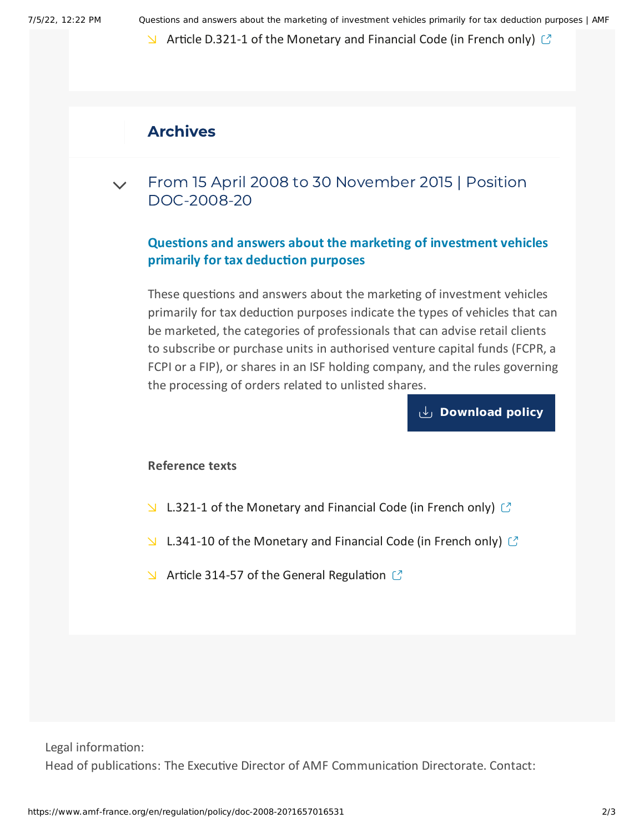7/5/22, 12:22 PM Questions and answers about the marketing of investment vehicles primarily for tax deduction purposes | AMF

 $\blacktriangleright$  Article D.321-1 of the [Monetary](https://www.legifrance.gouv.fr/affichCodeArticle.do?idArticle=LEGIARTI000029723798&cidTexte=LEGITEXT000006072026&dateTexte=20151120&oldAction=rechCodeArticle&fastReqId=1601092316&nbResultRech=1) and Financial Code (in French only)  $\heartsuit$ 

# Archives

#### From 15 April 2008 to 30 November 2015 | Position [DOC-2008-20](#page-1-0)  $\vee$

## **Questions and answers about the marketing of investment vehicles primarily for tax deduction purposes**

<span id="page-1-0"></span>These questions and answers about the marketing of investment vehicles primarily for tax deduction purposes indicate the types of vehicles that can be marketed, the categories of professionals that can advise retail clients to subscribe or purchase units in authorised venture capital funds (FCPR, a FCPI or a FIP), or shares in an ISF holding company, and the rules governing the processing of orders related to unlisted shares.

**[Download](https://www.amf-france.org/sites/default/files/doctrine/en/Position/DOC-2008-20/1.2/Questions%20and%20answers%20about%20the%20marketing%20of%20investment%20vehicles%20primarily%20for%20tax%20deduction%20purposes.pdf) policy**

### **Reference texts**

- $\Box$  L.321-1 of the [Monetary](http://www.legifrance.gouv.fr/affichCode.do;jsessionid=70B4804348ECA5B6EA6913D3AAF873D2.tpdjo17v_1?idSectionTA=LEGISCTA000006154448&cidTexte=LEGITEXT000006072026&dateTexte=20120403) and Financial Code (in French only)  $\Box$
- L.341-10 of the [Monetary](http://www.legifrance.gouv.fr/affichCode.do;jsessionid=70B4804348ECA5B6EA6913D3AAF873D2.tpdjo17v_1?idSectionTA=LEGISCTA000006170847&cidTexte=LEGITEXT000006072026&dateTexte=20120403) and Financial Code (in French only)  $\mathbb C$
- $\blacktriangleright$  Article 314-57 of the General [Regulation](https://reglement-general.amf-france.org/eli/fr/aai/amf/rg/article/314-57//notes/en.html)  $\mathbb{C}$

Legal information:

Head of publications: The Executive Director of AMF Communication Directorate. Contact: